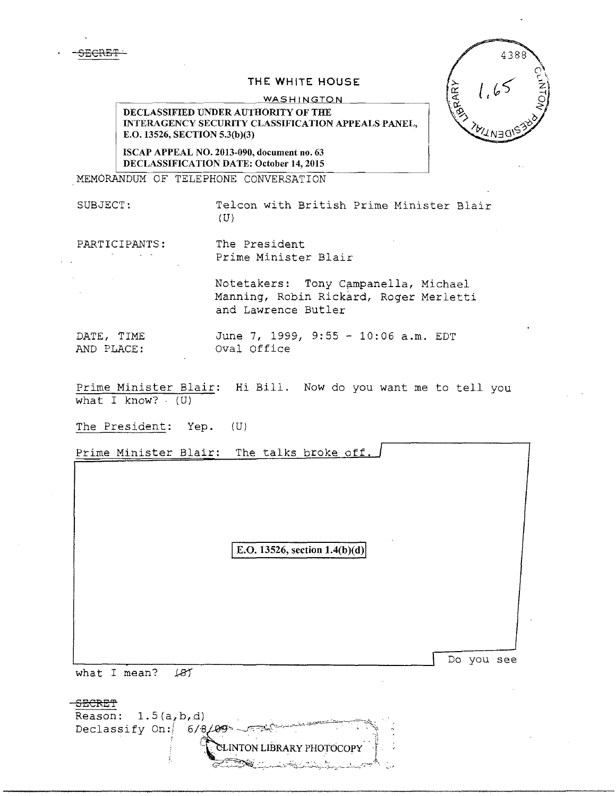SECRET·

## THE WHITE HOUSE

## WASHINGTON

DECLASSIFIED UNDER AUTHORITY OF THE INTERAGENCY SECURITY CLASSIFICATION APPEALS PANEL, E.0.13526, SECTION 5.3(b)(3)

ISCAP APPEAL NO. 2013-090, document no. 63 DECLASSIFICATION DATE: October 14, 2015

MEMORANDUM OF TELEPHONE CONVERSATION

SUBJECT: Telcon with British Prime Minister Blair  $(U)$ 

୍ୟୁନ୍ୟ

PARTICIPANTS: The President Prime Minister Blair

> Notetakers: Tony Campanella, Michael Manning, Robin Rickard, Roger Merletti and Lawrence Butler

DATE, TIME June 7, 1999, 9:55 - 10:06 a.m. EDT AND PLACE: Oval Office

Prime Minister Blair: Hi Bill. Now do you want me to tell you what  $I$  know?  $(U)$ 

The President: Yep. (U)

Prime Minister Blair: The talks broke off. E.O. 13526, section  $1.4(b)(d)$ Do you see what I mean?  $\angle 87$ <del>SECRET</del> Reason:  $1.5(a,b,d)$ Declassify On:  $6/8/89$ INTON LIBRARY PHOTOCOPY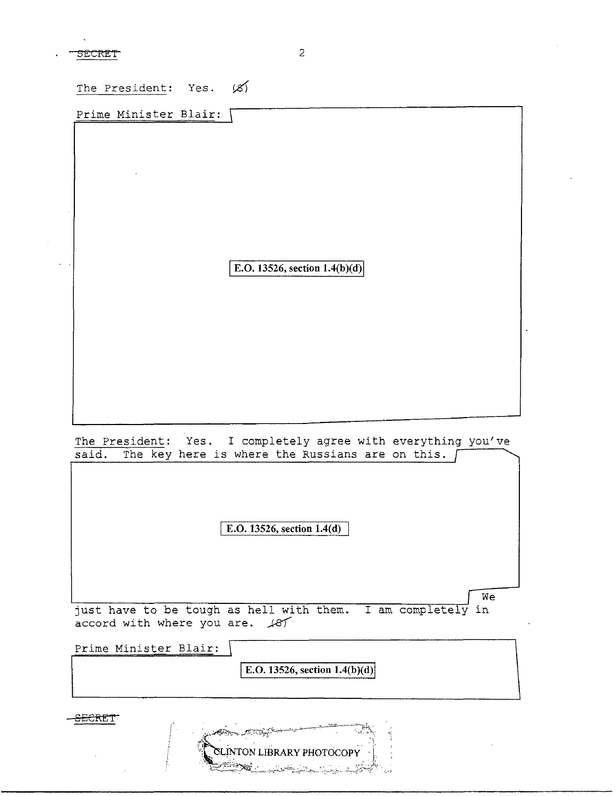The President: Yes. *iz)* 

Prime Minister Blair:

**E.O. 13526, section 1.4(b)(d)** 

The President: Yes. I completely agree with everything you've said. The key here is where the Russians are on this. [

**E.O. 13526, section 1.4(d)** 

We just have to be tough as hell with them. I am completely in accord with where you are.  $\#87$ 

Prime Minister Blair: **E.O. 13526, section 1.4(b)(d)**  $\texttt{sEERT}$ 

**INTON LIBRARY PHOTOCOPY**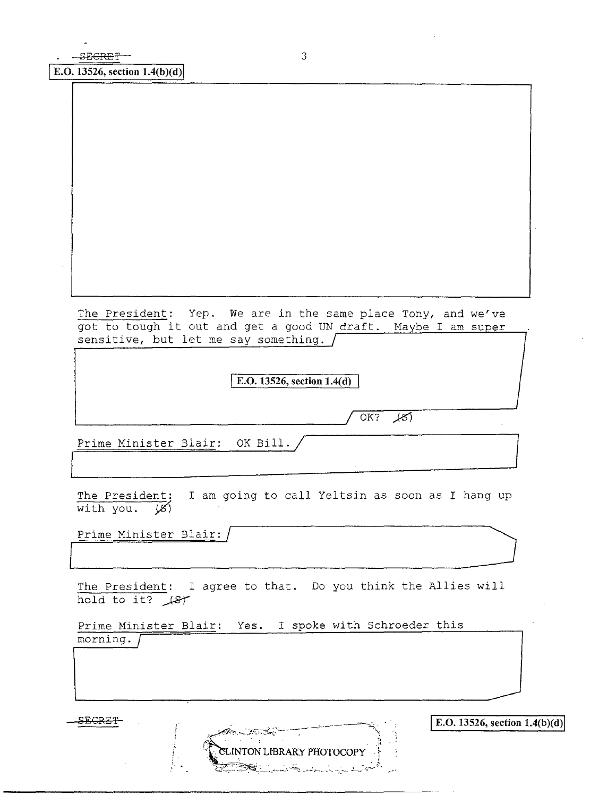The President: Yep. We are in the same place Tony, and we've got to tough it out and get a good UN draft. Maybe I am super sensitive, but let me say something.

I **E.O. 13526, section 1.4(d)** [

OK? *)-5'}* 

Prime Minister Blair: OK Bill. Prime Minister Bialr: OK Bill.

The President: I am going to call Yeltsin as soon as I hang up with you.  $\cancel{\mathcal{B}}$ 

Prime Minister Blair: /

The President: I agree to that. Do you think the Allies will hold to it? *\_J&'(* 

**XLINTON LIBRARY PHOTOCOPY** 

Prime Minister Blair: Yes. I spoke with Schroeder this morning.

**<u>EEGRET</u> a** *E.O. 13526, section 1.4(b)(d)*